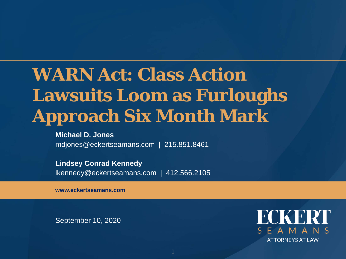#### **WARN Act: Class Action Lawsuits Loom as Furloughs Approach Six Month Mark**

#### **Michael D. Jones**

mdjones@eckertseamans.com | 215.851.8461

**Lindsey Conrad Kennedy** lkennedy@eckertseamans.com | 412.566.2105

**www.eckertseamans.com**

September 10, 2020

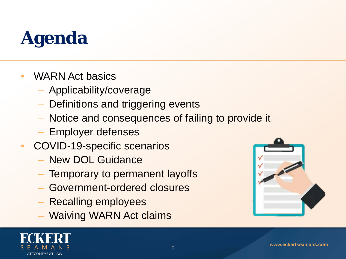# **Agenda**

- WARN Act basics
	- Applicability/coverage
	- Definitions and triggering events
	- Notice and consequences of failing to provide it
	- Employer defenses
- COVID-19-specific scenarios
	- New DOL Guidance
	- Temporary to permanent layoffs
	- Government-ordered closures
	- Recalling employees
	- Waiving WARN Act claims



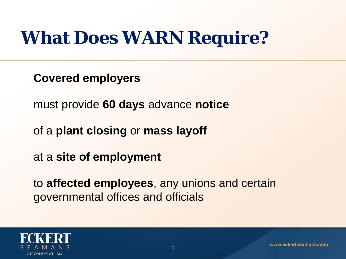#### **What Does WARN Require?**

**Covered employers**

must provide **60 days** advance **notice**

of a **plant closing** or **mass layoff**

at a **site of employment**

to **affected employees**, any unions and certain governmental offices and officials

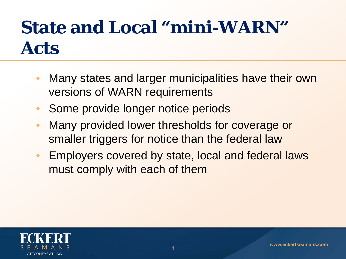### **State and Local "mini-WARN" Acts**

- Many states and larger municipalities have their own versions of WARN requirements
- Some provide longer notice periods
- Many provided lower thresholds for coverage or smaller triggers for notice than the federal law
- Employers covered by state, local and federal laws must comply with each of them

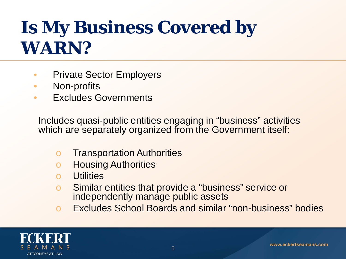#### **Is My Business Covered by WARN?**

- Private Sector Employers
- Non-profits
- Excludes Governments

Includes quasi-public entities engaging in "business" activities which are separately organized from the Government itself:

- o Transportation Authorities
- o Housing Authorities
- **Utilities**
- o Similar entities that provide a "business" service or independently manage public assets
- o Excludes School Boards and similar "non-business" bodies

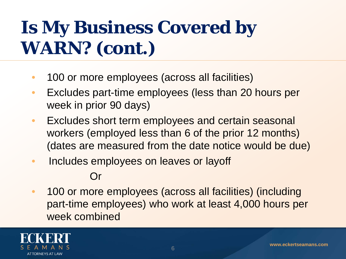## **Is My Business Covered by WARN? (cont.)**

- 100 or more employees (across all facilities)
- Excludes part-time employees (less than 20 hours per week in prior 90 days)
- Excludes short term employees and certain seasonal workers (employed less than 6 of the prior 12 months) (dates are measured from the date notice would be due)
- Includes employees on leaves or layoff

#### Or

• 100 or more employees (across all facilities) (including part-time employees) who work at least 4,000 hours per week combined

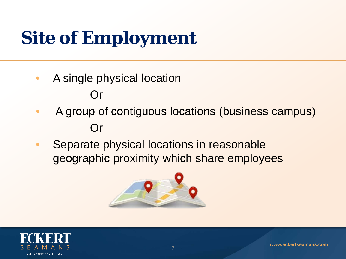# **Site of Employment**

- A single physical location Or
- A group of contiguous locations (business campus) Or
- Separate physical locations in reasonable geographic proximity which share employees



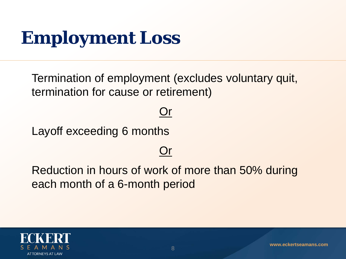### **Employment Loss**

Termination of employment (excludes voluntary quit, termination for cause or retirement)

#### Or

Layoff exceeding 6 months

#### Or

Reduction in hours of work of more than 50% during each month of a 6-month period

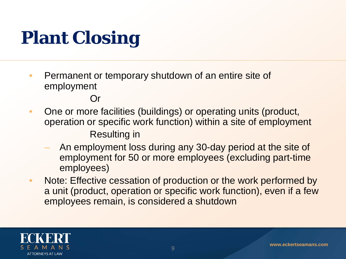# **Plant Closing**

• Permanent or temporary shutdown of an entire site of employment

Or

- One or more facilities (buildings) or operating units (product, operation or specific work function) within a site of employment Resulting in
	- An employment loss during any 30-day period at the site of employment for 50 or more employees (excluding part-time employees)
- Note: Effective cessation of production or the work performed by a unit (product, operation or specific work function), even if a few employees remain, is considered a shutdown

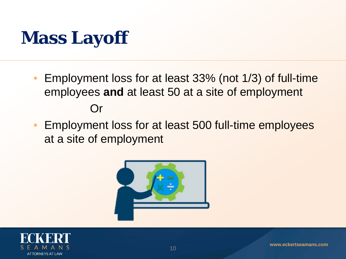#### **Mass Layoff**

- Employment loss for at least 33% (not 1/3) of full-time employees **and** at least 50 at a site of employment Or
- Employment loss for at least 500 full-time employees at a site of employment



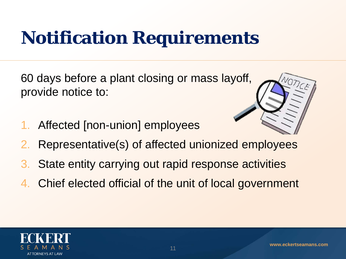## **Notification Requirements**

60 days before a plant closing or mass layoff, provide notice to:

Affected [non-union] employees



- 2. Representative(s) of affected unionized employees
- 3. State entity carrying out rapid response activities
- 4. Chief elected official of the unit of local government

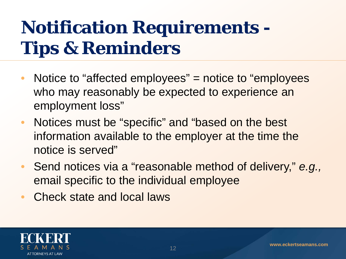## **Notification Requirements - Tips & Reminders**

- Notice to "affected employees" = notice to "employees" who may reasonably be expected to experience an employment loss"
- Notices must be "specific" and "based on the best information available to the employer at the time the notice is served"
- Send notices via a "reasonable method of delivery," *e.g.,*  email specific to the individual employee
- Check state and local laws

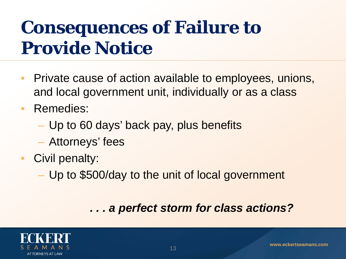### **Consequences of Failure to Provide Notice**

- Private cause of action available to employees, unions, and local government unit, individually or as a class
- Remedies:
	- Up to 60 days' back pay, plus benefits
	- Attorneys' fees
- Civil penalty:
	- Up to \$500/day to the unit of local government

#### *. . . a perfect storm for class actions?*

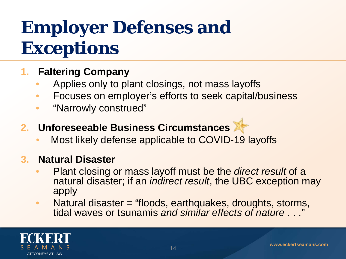## **Employer Defenses and Exceptions**

#### **1. Faltering Company**

- Applies only to plant closings, not mass layoffs
- Focuses on employer's efforts to seek capital/business
- "Narrowly construed"
- **2. Unforeseeable Business Circumstances** 
	- Most likely defense applicable to COVID-19 layoffs

#### **3. Natural Disaster**

- Plant closing or mass layoff must be the *direct result* of a natural disaster; if an *indirect result*, the UBC exception may apply
- Natural disaster = "floods, earthquakes, droughts, storms, tidal waves or tsunamis *and similar effects of nature* . . ."

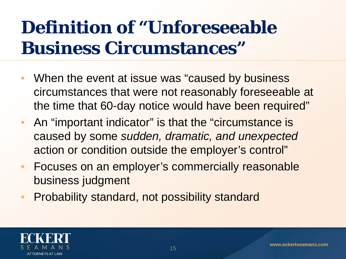#### **Definition of "Unforeseeable Business Circumstances"**

- When the event at issue was "caused by business" circumstances that were not reasonably foreseeable at the time that 60-day notice would have been required"
- An "important indicator" is that the "circumstance is caused by some *sudden, dramatic, and unexpected*  action or condition outside the employer's control"
- Focuses on an employer's commercially reasonable business judgment
- Probability standard, not possibility standard

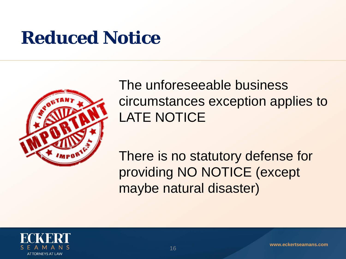#### **Reduced Notice**



#### The unforeseeable business circumstances exception applies to LATE NOTICE

There is no statutory defense for providing NO NOTICE (except maybe natural disaster)

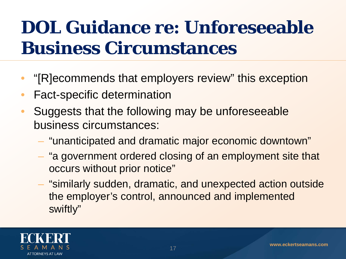### **DOL Guidance re: Unforeseeable Business Circumstances**

- "[R]ecommends that employers review" this exception
- Fact-specific determination
- Suggests that the following may be unforeseeable business circumstances:
	- "unanticipated and dramatic major economic downtown"
	- "a government ordered closing of an employment site that occurs without prior notice"
	- "similarly sudden, dramatic, and unexpected action outside the employer's control, announced and implemented swiftly"

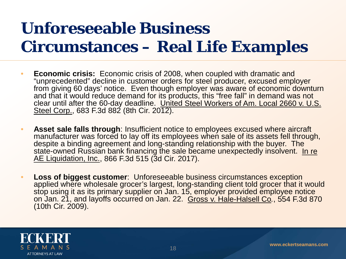#### **Unforeseeable Business Circumstances – Real Life Examples**

- **Economic crisis:** Economic crisis of 2008, when coupled with dramatic and "unprecedented" decline in customer orders for steel producer, excused employer from giving 60 days' notice. Even though employer was aware of economic downturn and that it would reduce demand for its products, this "free fall" in demand was not clear until after the 60-day deadline. United Steel Workers of Am. Local 2660 v. U.S. Steel Corp., 683 F.3d 882 (8th Cir. 2012).
- **Asset sale falls through**: Insufficient notice to employees excused where aircraft manufacturer was forced to lay off its employees when sale of its assets fell through, despite a binding agreement and long-standing relationship with the buyer. The state-owned Russian bank financing the sale became unexpectedly insolvent. In re AE Liquidation, Inc., 866 F.3d 515 (3d Cir. 2017).
- **Loss of biggest customer:** Unforeseeable business circumstances exception applied where wholesale grocer's largest, long-standing client told grocer that it would stop using it as its primary supplier on Jan. 15, employer provided employee notice on Jan. 21, and layoffs occurred on Jan. 22. Gross v. Hale-Halsell Co*.*, 554 F.3d 870 (10th Cir. 2009).

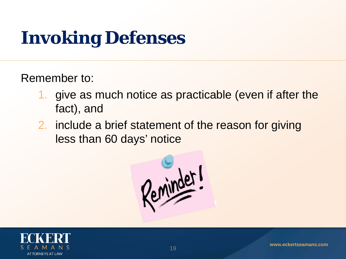# **Invoking Defenses**

Remember to:

- 1. give as much notice as practicable (even if after the fact), and
- 2. include a brief statement of the reason for giving less than 60 days' notice



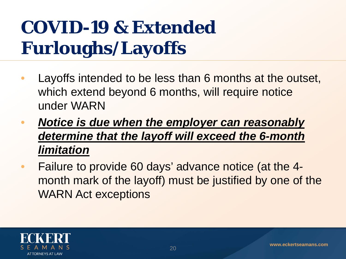## **COVID-19 & Extended Furloughs/Layoffs**

- Layoffs intended to be less than 6 months at the outset, which extend beyond 6 months, will require notice under WARN
- *Notice is due when the employer can reasonably determine that the layoff will exceed the 6-month limitation*
- Failure to provide 60 days' advance notice (at the 4 month mark of the layoff) must be justified by one of the WARN Act exceptions

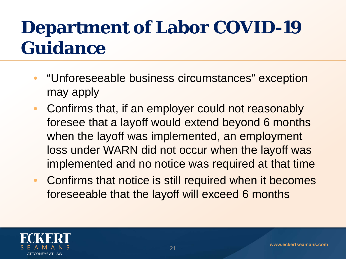### **Department of Labor COVID-19 Guidance**

- "Unforeseeable business circumstances" exception may apply
- Confirms that, if an employer could not reasonably foresee that a layoff would extend beyond 6 months when the layoff was implemented, an employment loss under WARN did not occur when the layoff was implemented and no notice was required at that time
- Confirms that notice is still required when it becomes foreseeable that the layoff will exceed 6 months

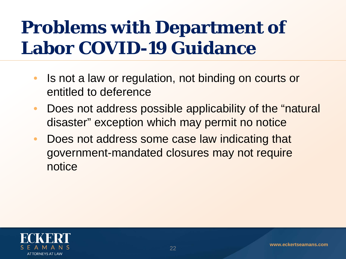#### **Problems with Department of Labor COVID-19 Guidance**

- Is not a law or regulation, not binding on courts or entitled to deference
- Does not address possible applicability of the "natural" disaster" exception which may permit no notice
- Does not address some case law indicating that government-mandated closures may not require notice

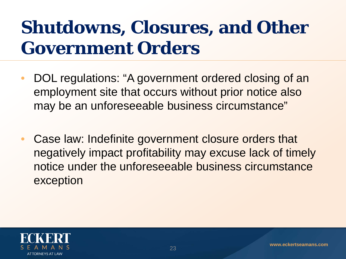#### **Shutdowns, Closures, and Other Government Orders**

- DOL regulations: "A government ordered closing of an employment site that occurs without prior notice also may be an unforeseeable business circumstance"
- Case law: Indefinite government closure orders that negatively impact profitability may excuse lack of timely notice under the unforeseeable business circumstance exception

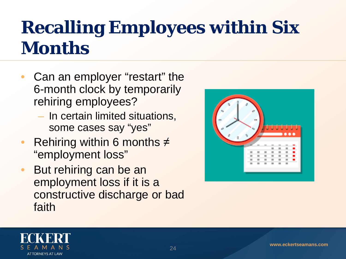#### **Recalling Employees within Six Months**

- Can an employer "restart" the 6-month clock by temporarily rehiring employees?
	- In certain limited situations, some cases say "yes"
- Rehiring within 6 months  $\neq$ "employment loss"
- But rehiring can be an employment loss if it is a constructive discharge or bad faith



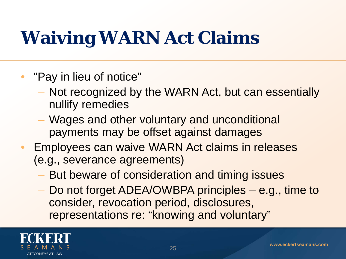## **Waiving WARN Act Claims**

- "Pay in lieu of notice"
	- Not recognized by the WARN Act, but can essentially nullify remedies
	- Wages and other voluntary and unconditional payments may be offset against damages
- Employees can waive WARN Act claims in releases (e.g., severance agreements)
	- But beware of consideration and timing issues
	- Do not forget ADEA/OWBPA principles e.g., time to consider, revocation period, disclosures, representations re: "knowing and voluntary"